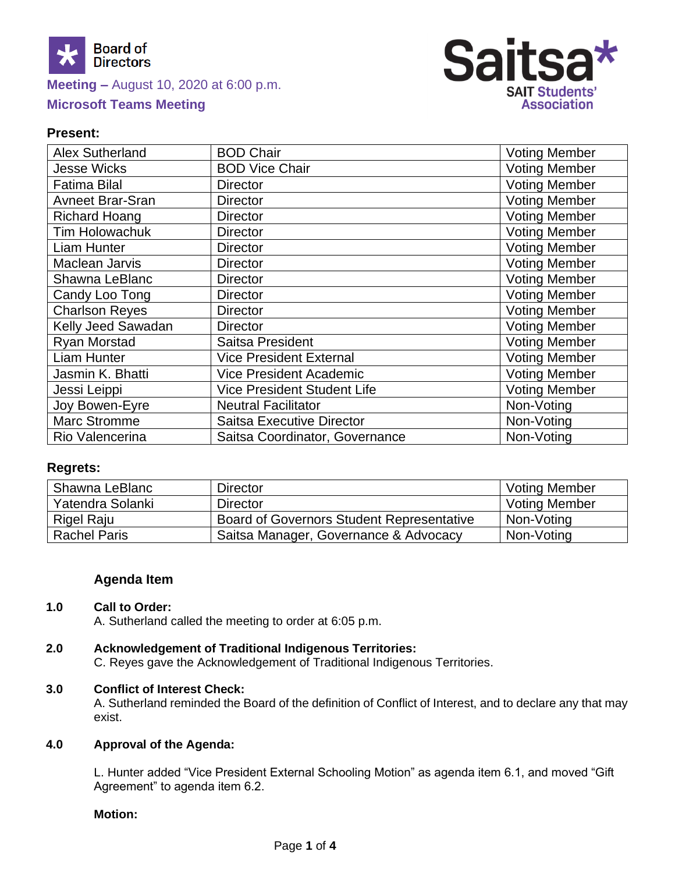

# **Meeting –** August 10, 2020 at 6:00 p.m. **Microsoft Teams Meeting**



## **Present:**

| <b>Alex Sutherland</b>  | <b>BOD Chair</b>                   | <b>Voting Member</b> |
|-------------------------|------------------------------------|----------------------|
| <b>Jesse Wicks</b>      | <b>BOD Vice Chair</b>              | <b>Voting Member</b> |
| <b>Fatima Bilal</b>     | <b>Director</b>                    | <b>Voting Member</b> |
| <b>Avneet Brar-Sran</b> | <b>Director</b>                    | <b>Voting Member</b> |
| <b>Richard Hoang</b>    | <b>Director</b>                    | <b>Voting Member</b> |
| <b>Tim Holowachuk</b>   | <b>Director</b>                    | <b>Voting Member</b> |
| Liam Hunter             | <b>Director</b>                    | <b>Voting Member</b> |
| <b>Maclean Jarvis</b>   | <b>Director</b>                    | <b>Voting Member</b> |
| Shawna LeBlanc          | <b>Director</b>                    | <b>Voting Member</b> |
| Candy Loo Tong          | <b>Director</b>                    | <b>Voting Member</b> |
| <b>Charlson Reyes</b>   | <b>Director</b>                    | <b>Voting Member</b> |
| Kelly Jeed Sawadan      | <b>Director</b>                    | <b>Voting Member</b> |
| Ryan Morstad            | Saitsa President                   | <b>Voting Member</b> |
| Liam Hunter             | <b>Vice President External</b>     | <b>Voting Member</b> |
| Jasmin K. Bhatti        | <b>Vice President Academic</b>     | <b>Voting Member</b> |
| Jessi Leippi            | <b>Vice President Student Life</b> | <b>Voting Member</b> |
| Joy Bowen-Eyre          | <b>Neutral Facilitator</b>         | Non-Voting           |
| <b>Marc Stromme</b>     | <b>Saitsa Executive Director</b>   | Non-Voting           |
| Rio Valencerina         | Saitsa Coordinator, Governance     | Non-Voting           |

## **Regrets:**

| Shawna LeBlanc      | Director                                         | <b>Voting Member</b> |
|---------------------|--------------------------------------------------|----------------------|
| Yatendra Solanki    | Director                                         | <b>Voting Member</b> |
| Rigel Raju          | <b>Board of Governors Student Representative</b> | Non-Voting           |
| <b>Rachel Paris</b> | Saitsa Manager, Governance & Advocacy            | Non-Voting           |

## **Agenda Item**

## **1.0 Call to Order:**

A. Sutherland called the meeting to order at 6:05 p.m.

## **2.0 Acknowledgement of Traditional Indigenous Territories:**

C. Reyes gave the Acknowledgement of Traditional Indigenous Territories.

### **3.0 Conflict of Interest Check:**

A. Sutherland reminded the Board of the definition of Conflict of Interest, and to declare any that may exist.

### **4.0 Approval of the Agenda:**

L. Hunter added "Vice President External Schooling Motion" as agenda item 6.1, and moved "Gift Agreement" to agenda item 6.2.

### **Motion:**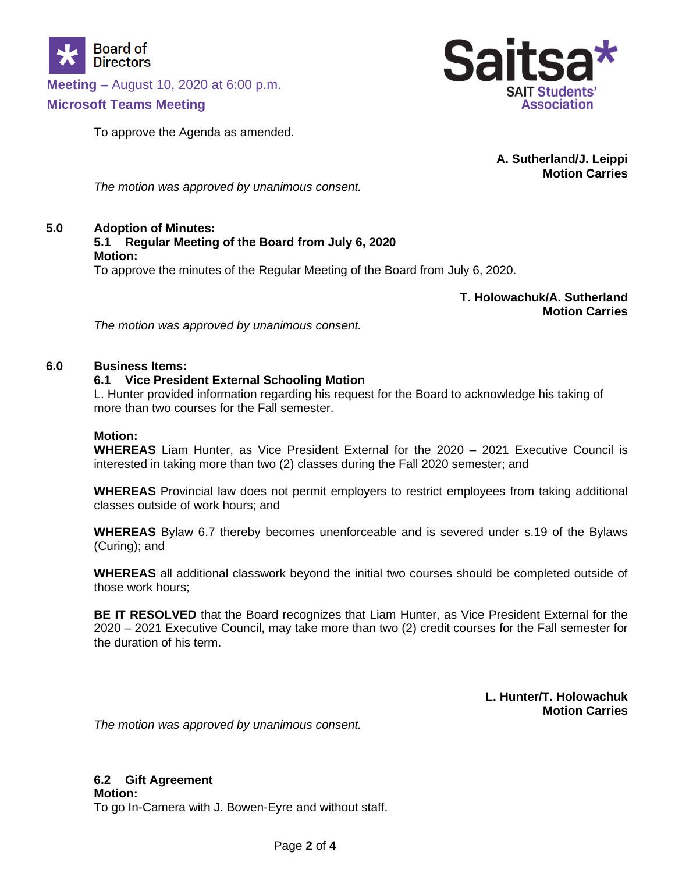

**Meeting –** August 10, 2020 at 6:00 p.m.

## **Microsoft Teams Meeting**

To approve the Agenda as amended.



**A. Sutherland/J. Leippi Motion Carries**

*The motion was approved by unanimous consent.* 

### **5.0 Adoption of Minutes:**

#### **5.1 Regular Meeting of the Board from July 6, 2020 Motion:**

To approve the minutes of the Regular Meeting of the Board from July 6, 2020.

**T. Holowachuk/A. Sutherland Motion Carries**

*The motion was approved by unanimous consent.* 

### **6.0 Business Items:**

### **6.1 Vice President External Schooling Motion**

L. Hunter provided information regarding his request for the Board to acknowledge his taking of more than two courses for the Fall semester.

### **Motion:**

**WHEREAS** Liam Hunter, as Vice President External for the 2020 – 2021 Executive Council is interested in taking more than two (2) classes during the Fall 2020 semester; and

**WHEREAS** Provincial law does not permit employers to restrict employees from taking additional classes outside of work hours; and

**WHEREAS** Bylaw 6.7 thereby becomes unenforceable and is severed under s.19 of the Bylaws (Curing); and

**WHEREAS** all additional classwork beyond the initial two courses should be completed outside of those work hours;

**BE IT RESOLVED** that the Board recognizes that Liam Hunter, as Vice President External for the 2020 – 2021 Executive Council, may take more than two (2) credit courses for the Fall semester for the duration of his term.

> **L. Hunter/T. Holowachuk Motion Carries**

*The motion was approved by unanimous consent.* 

## **6.2 Gift Agreement**

**Motion:** To go In-Camera with J. Bowen-Eyre and without staff.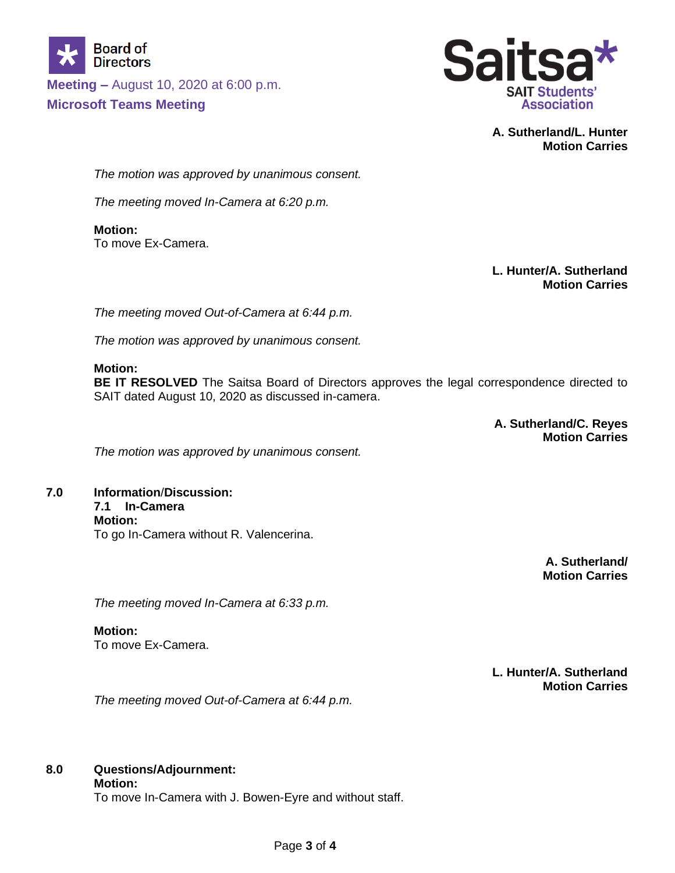

**Meeting –** August 10, 2020 at 6:00 p.m. **Microsoft Teams Meeting**



**A. Sutherland/L. Hunter Motion Carries**

*The motion was approved by unanimous consent.* 

*The meeting moved In-Camera at 6:20 p.m.*

**Motion:** To move Ex-Camera.

> **L. Hunter/A. Sutherland Motion Carries**

*The meeting moved Out-of-Camera at 6:44 p.m.*

*The motion was approved by unanimous consent.*

### **Motion:**

**BE IT RESOLVED** The Saitsa Board of Directors approves the legal correspondence directed to SAIT dated August 10, 2020 as discussed in-camera.

> **A. Sutherland/C. Reyes Motion Carries**

*The motion was approved by unanimous consent.* 

**7.0 Information**/**Discussion: 7.1 In-Camera Motion:** To go In-Camera without R. Valencerina.

> **A. Sutherland/ Motion Carries**

*The meeting moved In-Camera at 6:33 p.m.*

**Motion:** To move Ex-Camera.

> **L. Hunter/A. Sutherland Motion Carries**

*The meeting moved Out-of-Camera at 6:44 p.m.*

# **8.0 Questions/Adjournment:**

**Motion:**

To move In-Camera with J. Bowen-Eyre and without staff.